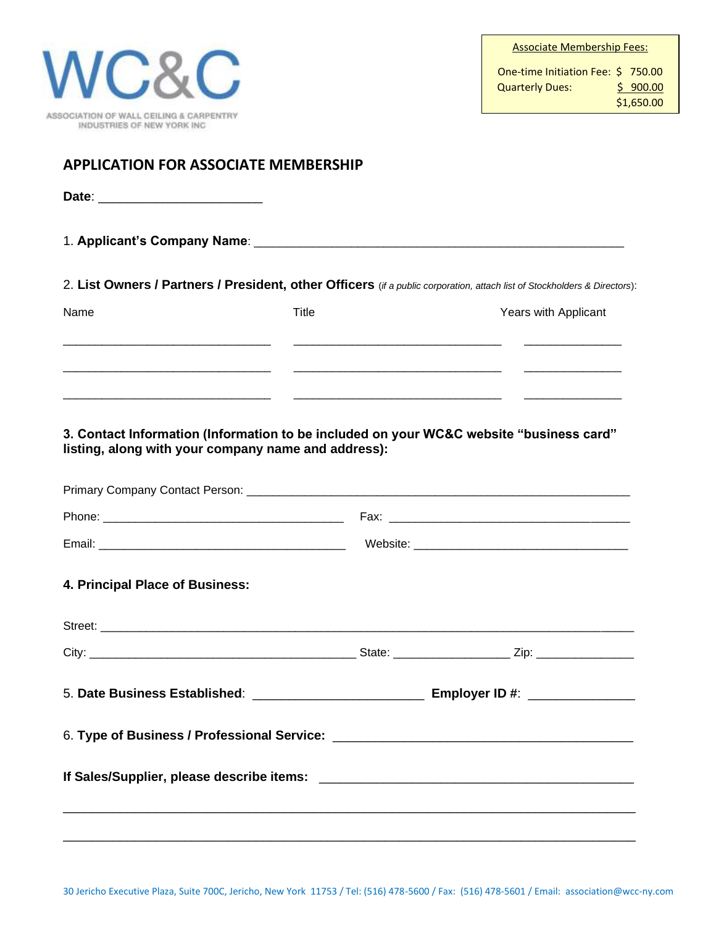| ASSOCIATION OF WALL CEILING & CARPENTRY<br>INDUSTRIES OF NEW YORK INC. |  |
|------------------------------------------------------------------------|--|

## **APPLICATION FOR ASSOCIATE MEMBERSHIP**

| Date:<br>$-$ |  |
|--------------|--|
|              |  |

1. **Applicant's Company Name**: \_\_\_\_\_\_\_\_\_\_\_\_\_\_\_\_\_\_\_\_\_\_\_\_\_\_\_\_\_\_\_\_\_\_\_\_\_\_\_\_\_\_\_\_\_\_\_\_\_\_\_\_\_\_\_\_\_

2. **List Owners / Partners / President, other Officers** (*if a public corporation, attach list of Stockholders & Directors*):

| Name | Title | Years with Applicant |
|------|-------|----------------------|
|      |       |                      |
|      |       |                      |

**3. Contact Information (Information to be included on your WC&C website "business card" listing, along with your company name and address):** 

| 5. Date Business Established: _________________________________ Employer ID #: ____________________ |  |
|-----------------------------------------------------------------------------------------------------|--|
|                                                                                                     |  |
|                                                                                                     |  |
|                                                                                                     |  |